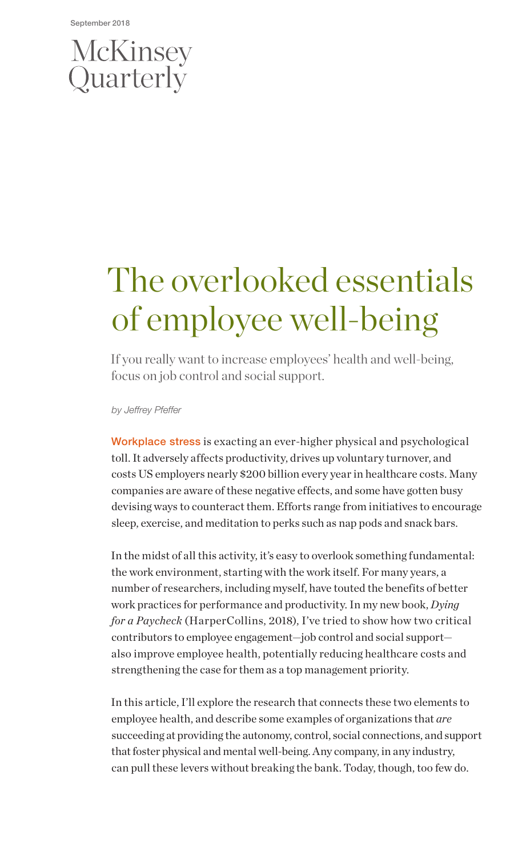# McKinsey<br>Quarterly

# The overlooked essentials of employee well-being

If you really want to increase employees' health and well-being, focus on job control and social support.

*by Jeffrey Pfeffer*

Workplace stress is exacting an ever-higher physical and psychological toll. It adversely affects productivity, drives up voluntary turnover, and costs US employers nearly \$200 billion every year in healthcare costs. Many companies are aware of these negative effects, and some have gotten busy devising ways to counteract them. Efforts range from initiatives to encourage sleep, exercise, and meditation to perks such as nap pods and snack bars.

In the midst of all this activity, it's easy to overlook something fundamental: the work environment, starting with the work itself. For many years, a number of researchers, including myself, have touted the benefits of better work practices for performance and productivity. In my new book, *Dying for a Paycheck* (HarperCollins, 2018), I've tried to show how two critical contributors to employee engagement—job control and social support also improve employee health, potentially reducing healthcare costs and strengthening the case for them as a top management priority.

In this article, I'll explore the research that connects these two elements to employee health, and describe some examples of organizations that *are*  succeeding at providing the autonomy, control, social connections, and support that foster physical and mental well-being. Any company, in any industry, can pull these levers without breaking the bank. Today, though, too few do.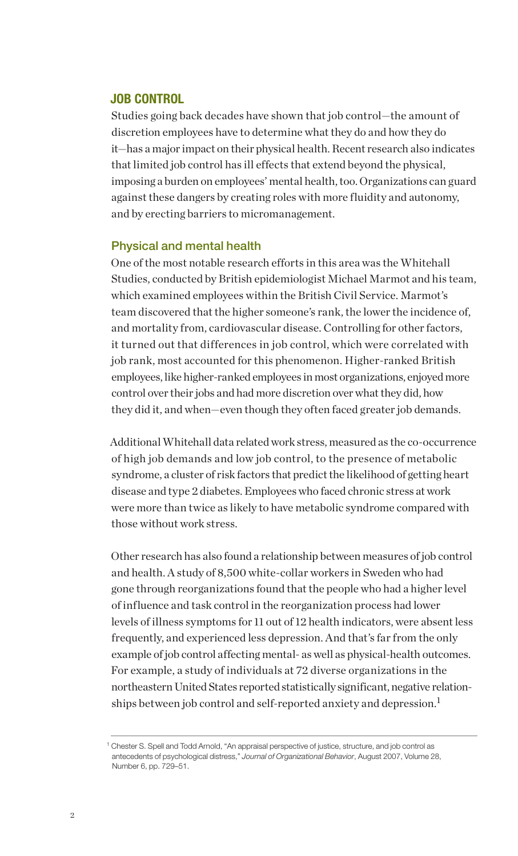# JOB CONTROL

Studies going back decades have shown that job control—the amount of discretion employees have to determine what they do and how they do it—has a major impact on their physical health. Recent research also indicates that limited job control has ill effects that extend beyond the physical, imposing a burden on employees' mental health, too. Organizations can guard against these dangers by creating roles with more fluidity and autonomy, and by erecting barriers to micromanagement.

#### Physical and mental health

One of the most notable research efforts in this area was the Whitehall Studies, conducted by British epidemiologist Michael Marmot and his team, which examined employees within the British Civil Service. Marmot's team discovered that the higher someone's rank, the lower the incidence of, and mortality from, cardiovascular disease. Controlling for other factors, it turned out that differences in job control, which were correlated with job rank, most accounted for this phenomenon. Higher-ranked British employees, like higher-ranked employees in most organizations, enjoyed more control over their jobs and had more discretion over what they did, how they did it, and when—even though they often faced greater job demands.

Additional Whitehall data related work stress, measured as the co-occurrence of high job demands and low job control, to the presence of metabolic syndrome, a cluster of risk factors that predict the likelihood of getting heart disease and type 2 diabetes. Employees who faced chronic stress at work were more than twice as likely to have metabolic syndrome compared with those without work stress.

Other research has also found a relationship between measures of job control and health. A study of 8,500 white-collar workers in Sweden who had gone through reorganizations found that the people who had a higher level of influence and task control in the reorganization process had lower levels of illness symptoms for 11 out of 12 health indicators, were absent less frequently, and experienced less depression. And that's far from the only example of job control affecting mental- as well as physical-health outcomes. For example, a study of individuals at 72 diverse organizations in the northeastern United States reported statistically significant, negative relationships between job control and self-reported anxiety and depression.<sup>1</sup>

<sup>&</sup>lt;sup>1</sup> Chester S. Spell and Todd Arnold, "An appraisal perspective of justice, structure, and job control as antecedents of psychological distress," *Journal of Organizational Behavior*, August 2007, Volume 28, Number 6, pp. 729–51.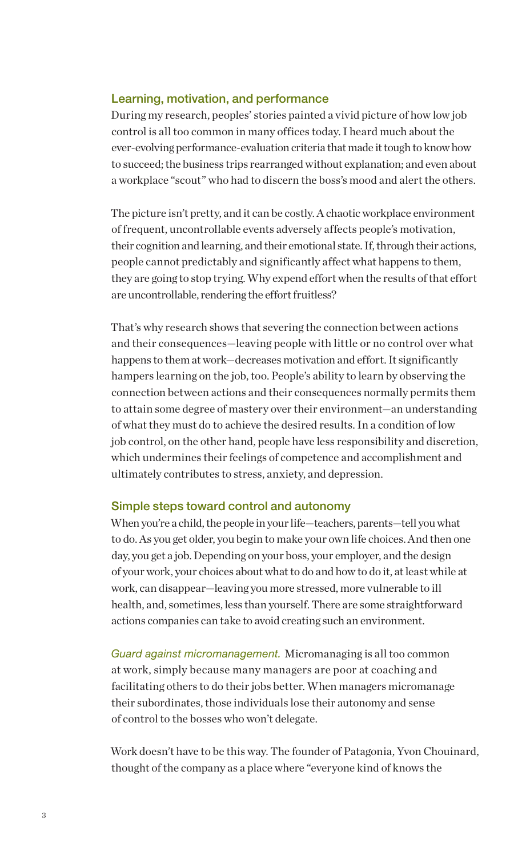#### Learning, motivation, and performance

During my research, peoples' stories painted a vivid picture of how low job control is all too common in many offices today. I heard much about the ever-evolving performance-evaluation criteria that made it tough to know how to succeed; the business trips rearranged without explanation; and even about a workplace "scout" who had to discern the boss's mood and alert the others.

The picture isn't pretty, and it can be costly. A chaotic workplace environment of frequent, uncontrollable events adversely affects people's motivation, their cognition and learning, and their emotional state. If, through their actions, people cannot predictably and significantly affect what happens to them, they are going to stop trying. Why expend effort when the results of that effort are uncontrollable, rendering the effort fruitless?

That's why research shows that severing the connection between actions and their consequences—leaving people with little or no control over what happens to them at work—decreases motivation and effort. It significantly hampers learning on the job, too. People's ability to learn by observing the connection between actions and their consequences normally permits them to attain some degree of mastery over their environment—an understanding of what they must do to achieve the desired results. In a condition of low job control, on the other hand, people have less responsibility and discretion, which undermines their feelings of competence and accomplishment and ultimately contributes to stress, anxiety, and depression.

#### Simple steps toward control and autonomy

When you're a child, the people in your life—teachers, parents—tell you what to do. As you get older, you begin to make your own life choices. And then one day, you get a job. Depending on your boss, your employer, and the design of your work, your choices about what to do and how to do it, at least while at work, can disappear—leaving you more stressed, more vulnerable to ill health, and, sometimes, less than yourself. There are some straightforward actions companies can take to avoid creating such an environment.

*Guard against micromanagement.* Micromanaging is all too common at work, simply because many managers are poor at coaching and facilitating others to do their jobs better. When managers micromanage their subordinates, those individuals lose their autonomy and sense of control to the bosses who won't delegate.

Work doesn't have to be this way. The founder of Patagonia, Yvon Chouinard, thought of the company as a place where "everyone kind of knows the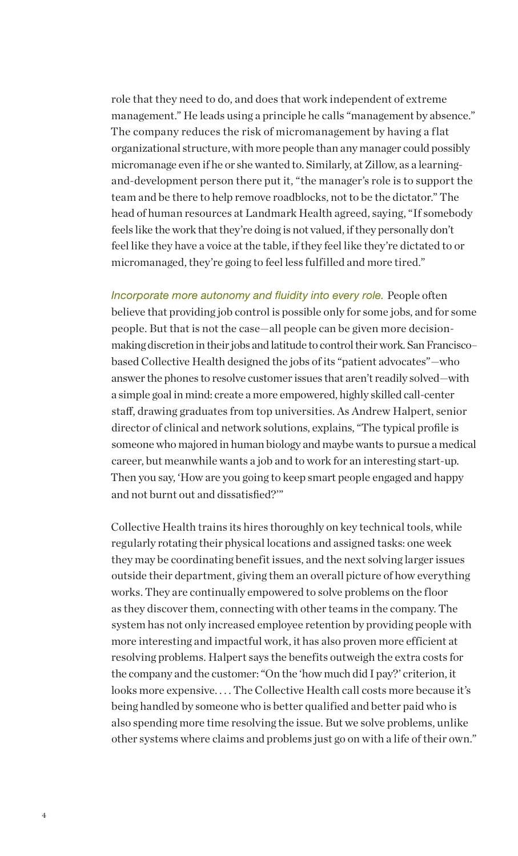role that they need to do, and does that work independent of extreme management." He leads using a principle he calls "management by absence." The company reduces the risk of micromanagement by having a flat organizational structure, with more people than any manager could possibly micromanage even if he or she wanted to. Similarly, at Zillow, as a learningand-development person there put it, "the manager's role is to support the team and be there to help remove roadblocks, not to be the dictator." The head of human resources at Landmark Health agreed, saying, "If somebody feels like the work that they're doing is not valued, if they personally don't feel like they have a voice at the table, if they feel like they're dictated to or micromanaged, they're going to feel less fulfilled and more tired."

*Incorporate more autonomy and fluidity into every role.* People often believe that providing job control is possible only for some jobs, and for some people. But that is not the case—all people can be given more decisionmaking discretion in their jobs and latitude to control their work. San Francisco– based Collective Health designed the jobs of its "patient advocates"—who answer the phones to resolve customer issues that aren't readily solved—with a simple goal in mind: create a more empowered, highly skilled call-center staff, drawing graduates from top universities. As Andrew Halpert, senior director of clinical and network solutions, explains, "The typical profile is someone who majored in human biology and maybe wants to pursue a medical career, but meanwhile wants a job and to work for an interesting start-up. Then you say, 'How are you going to keep smart people engaged and happy and not burnt out and dissatisfied?'"

Collective Health trains its hires thoroughly on key technical tools, while regularly rotating their physical locations and assigned tasks: one week they may be coordinating benefit issues, and the next solving larger issues outside their department, giving them an overall picture of how everything works. They are continually empowered to solve problems on the floor as they discover them, connecting with other teams in the company. The system has not only increased employee retention by providing people with more interesting and impactful work, it has also proven more efficient at resolving problems. Halpert says the benefits outweigh the extra costs for the company and the customer: "On the 'how much did I pay?' criterion, it looks more expensive.... The Collective Health call costs more because it's being handled by someone who is better qualified and better paid who is also spending more time resolving the issue. But we solve problems, unlike other systems where claims and problems just go on with a life of their own."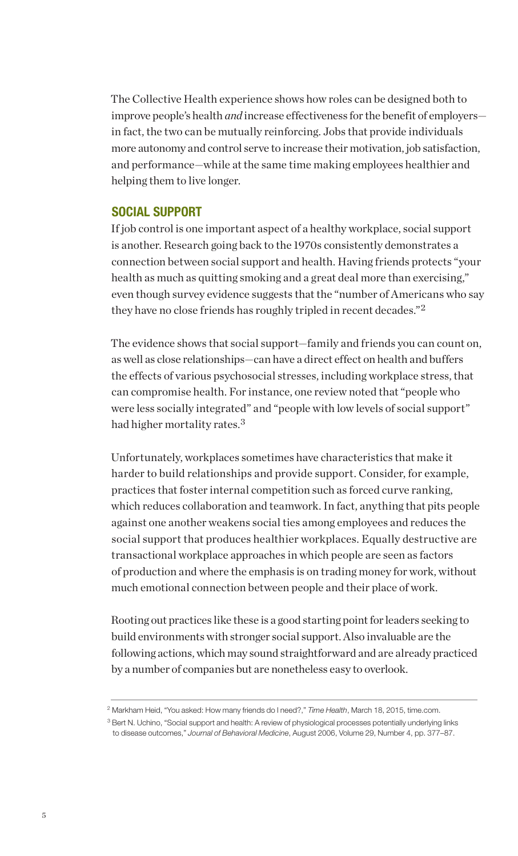The Collective Health experience shows how roles can be designed both to improve people's health *and* increase effectiveness for the benefit of employers in fact, the two can be mutually reinforcing. Jobs that provide individuals more autonomy and control serve to increase their motivation, job satisfaction, and performance—while at the same time making employees healthier and helping them to live longer.

# SOCIAL SUPPORT

If job control is one important aspect of a healthy workplace, social support is another. Research going back to the 1970s consistently demonstrates a connection between social support and health. Having friends protects "your health as much as quitting smoking and a great deal more than exercising," even though survey evidence suggests that the "number of Americans who say they have no close friends has roughly tripled in recent decades."<sup>2</sup>

The evidence shows that social support—family and friends you can count on, as well as close relationships—can have a direct effect on health and buffers the effects of various psychosocial stresses, including workplace stress, that can compromise health. For instance, one review noted that "people who were less socially integrated" and "people with low levels of social support" had higher mortality rates.<sup>3</sup>

Unfortunately, workplaces sometimes have characteristics that make it harder to build relationships and provide support. Consider, for example, practices that foster internal competition such as forced curve ranking, which reduces collaboration and teamwork. In fact, anything that pits people against one another weakens social ties among employees and reduces the social support that produces healthier workplaces. Equally destructive are transactional workplace approaches in which people are seen as factors of production and where the emphasis is on trading money for work, without much emotional connection between people and their place of work.

Rooting out practices like these is a good starting point for leaders seeking to build environments with stronger social support. Also invaluable are the following actions, which may sound straightforward and are already practiced by a number of companies but are nonetheless easy to overlook.

<sup>2</sup> Markham Heid, "You asked: How many friends do I need?," *Time Health*, March 18, 2015, time.com.

<sup>&</sup>lt;sup>3</sup> Bert N. Uchino, "Social support and health: A review of physiological processes potentially underlying links to disease outcomes," *Journal of Behavioral Medicine*, August 2006, Volume 29, Number 4, pp. 377–87.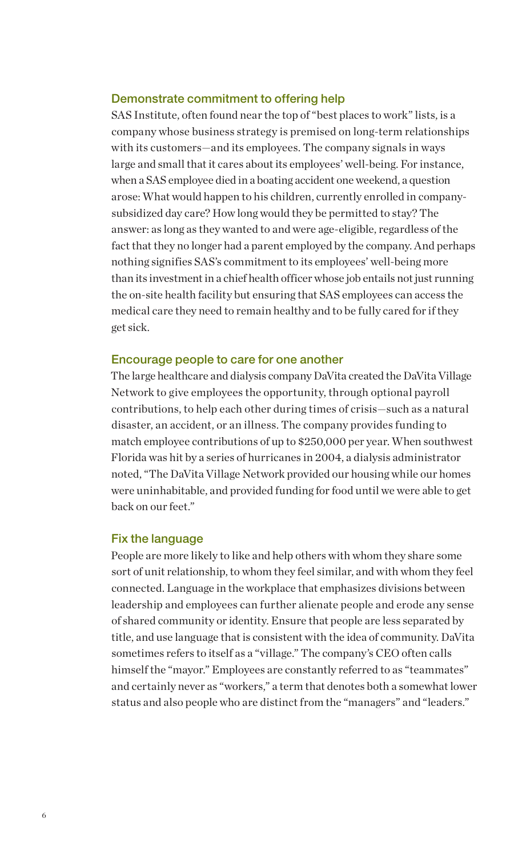## Demonstrate commitment to offering help

SAS Institute, often found near the top of "best places to work" lists, is a company whose business strategy is premised on long-term relationships with its customers—and its employees. The company signals in ways large and small that it cares about its employees' well-being. For instance, when a SAS employee died in a boating accident one weekend, a question arose: What would happen to his children, currently enrolled in companysubsidized day care? How long would they be permitted to stay? The answer: as long as they wanted to and were age-eligible, regardless of the fact that they no longer had a parent employed by the company. And perhaps nothing signifies SAS's commitment to its employees' well-being more than its investment in a chief health officer whose job entails not just running the on-site health facility but ensuring that SAS employees can access the medical care they need to remain healthy and to be fully cared for if they get sick.

#### Encourage people to care for one another

The large healthcare and dialysis company DaVita created the DaVita Village Network to give employees the opportunity, through optional payroll contributions, to help each other during times of crisis—such as a natural disaster, an accident, or an illness. The company provides funding to match employee contributions of up to \$250,000 per year. When southwest Florida was hit by a series of hurricanes in 2004, a dialysis administrator noted, "The DaVita Village Network provided our housing while our homes were uninhabitable, and provided funding for food until we were able to get back on our feet."

#### Fix the language

People are more likely to like and help others with whom they share some sort of unit relationship, to whom they feel similar, and with whom they feel connected. Language in the workplace that emphasizes divisions between leadership and employees can further alienate people and erode any sense of shared community or identity. Ensure that people are less separated by title, and use language that is consistent with the idea of community. DaVita sometimes refers to itself as a "village." The company's CEO often calls himself the "mayor." Employees are constantly referred to as "teammates" and certainly never as "workers," a term that denotes both a somewhat lower status and also people who are distinct from the "managers" and "leaders."